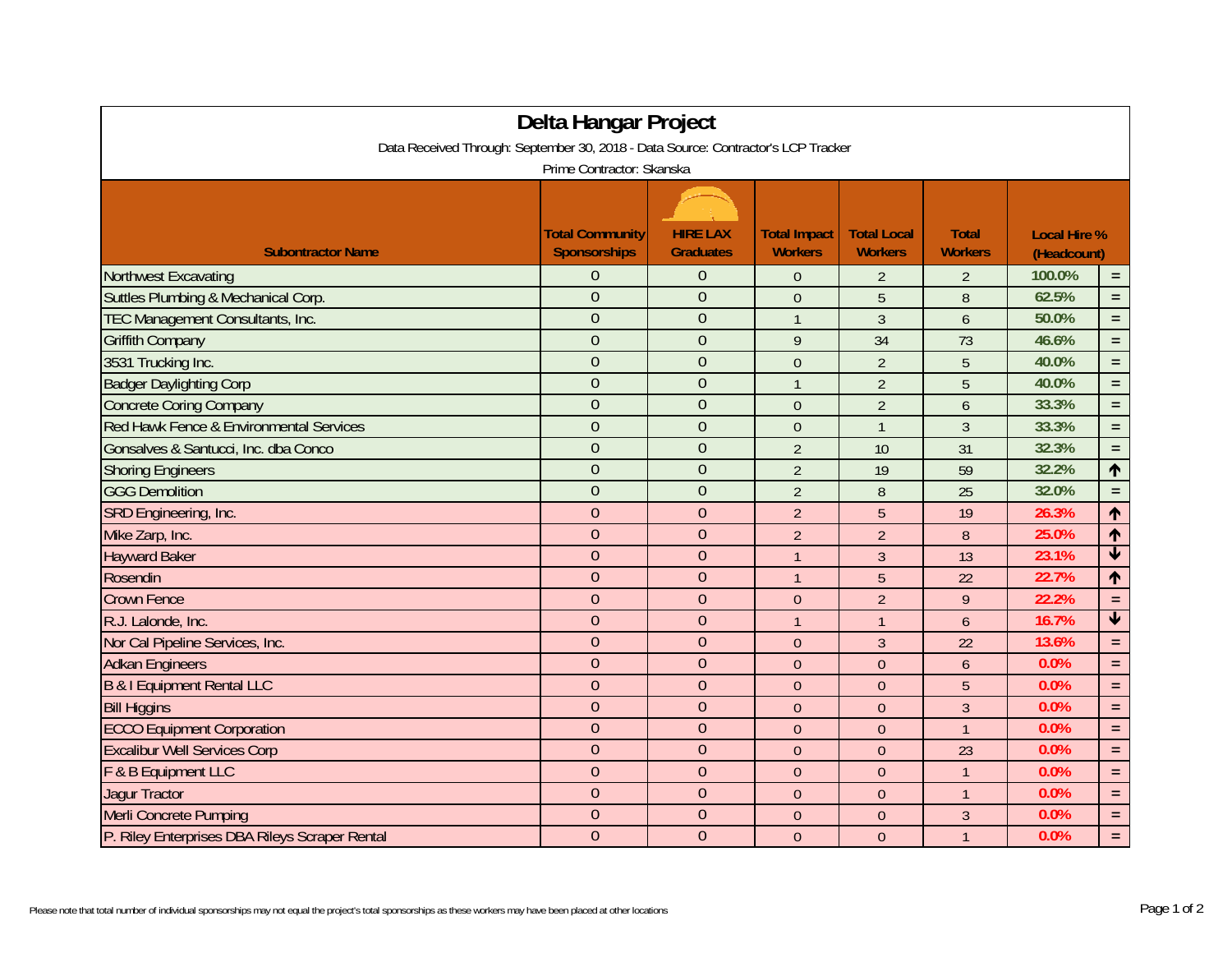| Delta Hangar Project<br>Data Received Through: September 30, 2018 - Data Source: Contractor's LCP Tracker |                                               |                                     |                                       |                                      |                                |                                    |                         |  |  |  |  |
|-----------------------------------------------------------------------------------------------------------|-----------------------------------------------|-------------------------------------|---------------------------------------|--------------------------------------|--------------------------------|------------------------------------|-------------------------|--|--|--|--|
| Prime Contractor: Skanska                                                                                 |                                               |                                     |                                       |                                      |                                |                                    |                         |  |  |  |  |
| <b>Subontractor Name</b>                                                                                  | <b>Total Community</b><br><b>Sponsorships</b> | <b>HIRE LAX</b><br><b>Graduates</b> | <b>Total Impact</b><br><b>Workers</b> | <b>Total Local</b><br><b>Workers</b> | <b>Total</b><br><b>Workers</b> | <b>Local Hire %</b><br>(Headcount) |                         |  |  |  |  |
| <b>Northwest Excavating</b>                                                                               | $\overline{0}$                                | $\Omega$                            | $\theta$                              | $\overline{2}$                       | $\overline{2}$                 | 100.0%                             | $\equiv$                |  |  |  |  |
| Suttles Plumbing & Mechanical Corp.                                                                       | $\overline{0}$                                | $\theta$                            | $\theta$                              | 5                                    | 8                              | 62.5%                              | $\equiv$                |  |  |  |  |
| TEC Management Consultants, Inc.                                                                          | $\overline{0}$                                | $\theta$                            | $\mathbf{1}$                          | $\mathfrak{Z}$                       | 6                              | 50.0%                              | $\equiv$                |  |  |  |  |
| <b>Griffith Company</b>                                                                                   | $\overline{0}$                                | $\theta$                            | 9                                     | 34                                   | 73                             | 46.6%                              | $\equiv$                |  |  |  |  |
| 3531 Trucking Inc.                                                                                        | $\overline{0}$                                | $\overline{0}$                      | $\theta$                              | $\overline{2}$                       | 5                              | 40.0%                              | $\equiv$                |  |  |  |  |
| <b>Badger Daylighting Corp</b>                                                                            | $\overline{0}$                                | $\mathbf{0}$                        | $\mathbf{1}$                          | $\overline{2}$                       | 5                              | 40.0%                              | $\equiv$                |  |  |  |  |
| <b>Concrete Coring Company</b>                                                                            | $\overline{0}$                                | $\overline{0}$                      | $\boldsymbol{0}$                      | $\overline{2}$                       | 6                              | 33.3%                              | $\equiv$                |  |  |  |  |
| Red Hawk Fence & Environmental Services                                                                   | $\mathbf{0}$                                  | $\theta$                            | $\mathbf{0}$                          | $\overline{1}$                       | $\mathfrak{Z}$                 | 33.3%                              | $\equiv$                |  |  |  |  |
| Gonsalves & Santucci, Inc. dba Conco                                                                      | $\overline{0}$                                | $\mathbf{0}$                        | $\overline{2}$                        | 10                                   | 31                             | 32.3%                              | $\equiv$                |  |  |  |  |
| <b>Shoring Engineers</b>                                                                                  | $\overline{0}$                                | $\theta$                            | $\overline{2}$                        | 19                                   | 59                             | 32.2%                              | $\uparrow$              |  |  |  |  |
| <b>GGG Demolition</b>                                                                                     | $\overline{0}$                                | $\overline{0}$                      | $\overline{2}$                        | 8                                    | 25                             | 32.0%                              | $\equiv$                |  |  |  |  |
| SRD Engineering, Inc.                                                                                     | $\overline{0}$                                | $\overline{0}$                      | $\overline{2}$                        | 5                                    | 19                             | 26.3%                              | $\blacklozenge$         |  |  |  |  |
| Mike Zarp, Inc.                                                                                           | $\overline{0}$                                | $\overline{0}$                      | $\overline{2}$                        | $\overline{2}$                       | 8                              | 25.0%                              | $\blacklozenge$         |  |  |  |  |
| <b>Hayward Baker</b>                                                                                      | $\mathbf{0}$                                  | $\theta$                            | $\mathbf{1}$                          | $\overline{3}$                       | 13                             | 23.1%                              | $\overline{\textbf{v}}$ |  |  |  |  |
| Rosendin                                                                                                  | $\overline{0}$                                | $\theta$                            | $\mathbf{1}$                          | 5                                    | 22                             | 22.7%                              | $\blacklozenge$         |  |  |  |  |
| <b>Crown Fence</b>                                                                                        | $\overline{0}$                                | $\overline{0}$                      | $\mathbf{0}$                          | $\overline{2}$                       | 9                              | 22.2%                              | $\equiv$                |  |  |  |  |
| R.J. Lalonde, Inc.                                                                                        | $\overline{0}$                                | $\theta$                            | $\mathbf{1}$                          | $\overline{1}$                       | $\overline{6}$                 | 16.7%                              | $\overline{\textbf{v}}$ |  |  |  |  |
| Nor Cal Pipeline Services, Inc.                                                                           | $\overline{0}$                                | $\overline{0}$                      | $\theta$                              | $\overline{3}$                       | 22                             | 13.6%                              | $\equiv$                |  |  |  |  |
| <b>Adkan Engineers</b>                                                                                    | $\boldsymbol{0}$                              | $\overline{0}$                      | $\mathbf 0$                           | $\mathbf{0}$                         | 6                              | 0.0%                               | $\equiv$                |  |  |  |  |
| B & I Equipment Rental LLC                                                                                | $\overline{0}$                                | $\theta$                            | $\theta$                              | $\overline{0}$                       | 5                              | 0.0%                               | $\equiv$                |  |  |  |  |
| <b>Bill Higgins</b>                                                                                       | $\overline{0}$                                | $\theta$                            | $\theta$                              | $\theta$                             | 3                              | 0.0%                               | $\equiv$                |  |  |  |  |
| <b>ECCO Equipment Corporation</b>                                                                         | $\overline{0}$                                | $\overline{0}$                      | $\theta$                              | $\theta$                             | $\overline{1}$                 | 0.0%                               | $\equiv$                |  |  |  |  |
| <b>Excalibur Well Services Corp</b>                                                                       | $\overline{0}$                                | $\overline{0}$                      | $\theta$                              | $\mathbf{0}$                         | 23                             | 0.0%                               | $\equiv$                |  |  |  |  |
| F & B Equipment LLC                                                                                       | $\overline{0}$                                | $\Omega$                            | $\theta$                              | $\overline{0}$                       | $\overline{1}$                 | 0.0%                               | $\equiv$                |  |  |  |  |
| <b>Jagur Tractor</b>                                                                                      | $\overline{0}$                                | $\theta$                            | $\theta$                              | $\theta$                             | $\mathbf{1}$                   | 0.0%                               | $\equiv$                |  |  |  |  |
| Merli Concrete Pumping                                                                                    | $\mathbf{0}$                                  | $\theta$                            | $\theta$                              | $\theta$                             | $\mathfrak{Z}$                 | 0.0%                               | $\equiv$                |  |  |  |  |
| P. Riley Enterprises DBA Rileys Scraper Rental                                                            | $\overline{0}$                                | $\theta$                            | $\theta$                              | $\mathbf{0}$                         | $\overline{1}$                 | 0.0%                               | $\equiv$                |  |  |  |  |